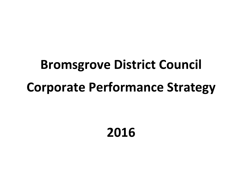# **Bromsgrove District Council Corporate Performance Strategy**

# **2016**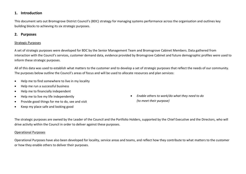# **1. Introduction**

This document sets out Bromsgrove District Council's (BDC) strategy for managing systems performance across the organisation and outlines key building blocks to achieving its six strategic purposes.

#### **2. Purposes**

#### Strategic Purposes

A set of strategic purposes were developed for BDC by the Senior Management Team and Bromsgrove Cabinet Members. Data gathered from interaction with the Council's services, customer demand data, evidence provided by Bromsgrove Cabinet and future demographic profiles were used to inform these strategic purposes.

All of this data was used to establish what matters to the customer and to develop a set of strategic purposes that reflect the needs of our community. The purposes below outline the Council's areas of focus and will be used to allocate resources and plan services:

- Help me to find somewhere to live in my locality
- Help me run a successful business
- Help me to financially independent
- Help me to live my life independently
- Provide good things for me to do, see and visit
- Keep my place safe and looking good

 *Enable others to work/do what they need to do (to meet their purpose)*

The strategic purposes are owned by the Leader of the Council and the Portfolio Holders, supported by the Chief Executive and the Directors, who will drive activity within the Council in order to deliver against these purposes.

#### Operational Purposes

Operational Purposes have also been developed for locality, service areas and teams, and reflect how they contribute to what matters to the customer or how they enable others to deliver their purposes.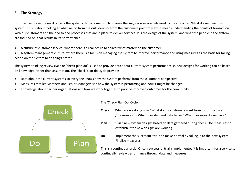# **3. The Strategy**

Bromsgrove District Council is using the systems thinking method to change the way services are delivered to the customer. What do we mean by system? This is about looking at what we do from the outside-in or from the customers point of view; it means understanding the points of transaction with our customers and the end to end processes that are in place to deliver services. It is the design of the system, and what the people in the system are focused on, that results in its performance.

- A culture of customer service- where there is a real desire to deliver what matters to the customer
- A system management culture- where there is a focus on managing the system to improve performance and using measures as the basis for taking action on the system to do things better

The system thinking review cycle or 'check-plan-do' is used to provide data about current system performance so new designs for working can be based on knowledge rather than assumption. The 'check-plan-do' cycle provides:

- Data about the current systems so everyone knows how the system performs from the customers perspective
- Measures that let Members and Senior Managers see how the system is performing and how it might be changed
- Knowledge about partner organisations and how we work together to provide improved outcomes for the community



#### The 'Check-Plan-Do' Cycle

- **Check** What are we doing now? What do our customers want from us (our service /organisation)? What does demand data tell us? What measures do we have?
- **Plan** 'Trial' new system designs based on data gathered during check. Use measures to establish if the new designs are working.

**Do** Implement the successful trial and make normal by rolling in to the new system. Finalise measures

This is a continuous cycle. Once a successful trial is implemented it is important for a service to continually review performance through data and measures.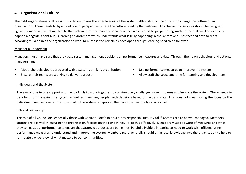#### **4. Organisational Culture**

The right organisational culture is critical to improving the effectiveness of the system, although it can be difficult to change the culture of an organisation. There needs to by an 'outside in' perspective, where the culture is led by the customer. To achieve this, services should be designed against demand and what matters to the customer, rather than historical practices which could be perpetuating waste in the system. This needs to happen alongside a continuous learning environment which understands what is truly happening in the system and uses fact and data to react accordingly. To enable the organisation to work to purpose the principles developed through learning need to be followed.

#### Managerial Leadership

Managers must make sure that they base system management decisions on performance measures and data. Through their own behaviour and actions, managers must:

- Model the behaviours associated with a systems thinking organisation
- Ensure their teams are working to deliver purpose
- Use performance measures to improve the system
- Allow staff the space and time for learning and development

#### Individuals and the System

The aim of one to one support and mentoring is to work together to constructively challenge, solve problems and improve the system. There needs to be a focus on managing the system as well as managing people, with decisions based on fact and data. This does not mean losing the focus on the individual's wellbeing or on the individual; if the system is improved the person will naturally do so as well.

#### Political Leadership

The role of all Councillors, especially those with Cabinet, Portfolio or Scrutiny responsibilities, is vital if systems are to be well managed. Members' strategic role is vital in ensuring the organisation focuses on the right things. To do this effectively, Members must be aware of measures and what they tell us about performance to ensure that strategic purposes are being met. Portfolio Holders in particular need to work with officers, using performance measures to understand and improve the system. Members more generally should bring local knowledge into the organisation to help to formulate a wider view of what matters to our communities.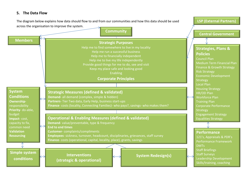# **5. The Data Flow**



Medium Term Financial Plan Finance & Growth Strategy Economic Development Housing Strategy Corporate Performance Engagement Strategy Equalities Strategy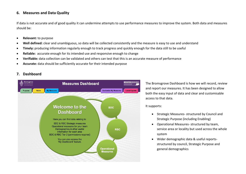#### **6. Measures and Data Quality**

If data is not accurate and of good quality it can undermine attempts to use performance measures to improve the system. Both data and measures should be:

- **Relevant:** to purpose
- **Well defined:** clear and unambiguous, so data will be collected consistently and the measure is easy to use and understand
- **Timely:** producing information regularly enough to track progress and quickly enough for the data still to be useful
- **Reliable:** accurate enough for its intended use and responsive enough to change
- **Verifiable:** data collection can be validated and others can test that this is an accurate measure of performance
- **Accurate:** data should be sufficiently accurate for their intended purpose

# **7. Dashboard**



The Bromsgrove Dashboard is how we will record, review and report our measures. It has been designed to allow both the easy input of data and clear and customisable access to that data.

#### It supports:

- Strategic Measures- structured by Council and Strategic Purpose (including Enabling)
- Operational Measures- structured by team, service area or locality but used across the whole system
- Wider demographic data & useful reportsstructured by council, Strategic Purpose and general demographics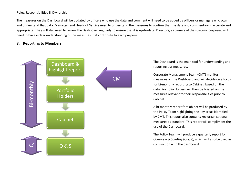#### Roles, Responsibilities & Ownership

The measures on the Dashboard will be updated by officers who use the data and comment will need to be added by officers or managers who own and understand that data. Managers and Heads of Service need to understand the measures to confirm that the data and commentary is accurate and appropriate. They will also need to review the Dashboard regularly to ensure that it is up-to-date. Directors, as owners of the strategic purposes, will need to have a clear understanding of the measures that contribute to each purpose.

#### **8. Reporting to Members**



The Dashboard is the main tool for understanding and reporting our measures.

Corporate Management Team (CMT) monitor measures on the Dashboard and will decide on a focus for bi-monthly reporting to Cabinet, based on the data. Portfolio Holders will then be briefed on the measures relevant to their responsibilities prior to Cabinet.

A bi-monthly report for Cabinet will be produced by the Policy Team highlighting the key areas identified by CMT. This report also contains key organisational measures as standard. This report will compliment the use of the Dashboard.

The Policy Team will produce a quarterly report for Overview & Scrutiny (O & S), which will also be used in conjunction with the dashboard.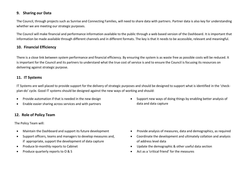# **9. Sharing our Data**

The Council, through projects such as Sunrise and Connecting Families, will need to share data with partners. Partner data is also key for understanding whether we are meeting our strategic purposes.

The Council will make financial and performance information available to the public through a web based version of the Dashboard. It is important that information be made available through different channels and in different formats. The key is that it needs to be accessible, relevant and meaningful.

# **10. Financial Efficiency**

There is a close link between system performance and financial efficiency. By ensuring the system is as waste free as possible costs will be reduced. It is important for the Council and its partners to understand what the true cost of service is and to ensure the Council is focusing its resources on delivering against strategic purpose.

# **11. IT Systems**

IT Systems are well placed to provide support for the delivery of strategic purposes and should be designed to support what is identified in the 'checkplan-do' cycle. Good IT systems should be designed against the new ways of working and should:

- Provide automation if that is needed in the new design
- Enable easier sharing across services and with partners

# **12. Role of Policy Team**

The Policy Team will:

- Maintain the Dashboard and support its future development
- Support officers, teams and managers to develop measures and, if appropriate, support the development of data capture
- Produce bi-monthly reports to Cabinet
- Produce quarterly reports to O & S

 Support new ways of doing things by enabling better analysis of data and data capture

- Provide analysis of measures, data and demographics, as required
- Coordinate the development and ultimately collation and analysis of address level data
- Update the demographic & other useful data section
- Act as a 'critical friend' for the measures